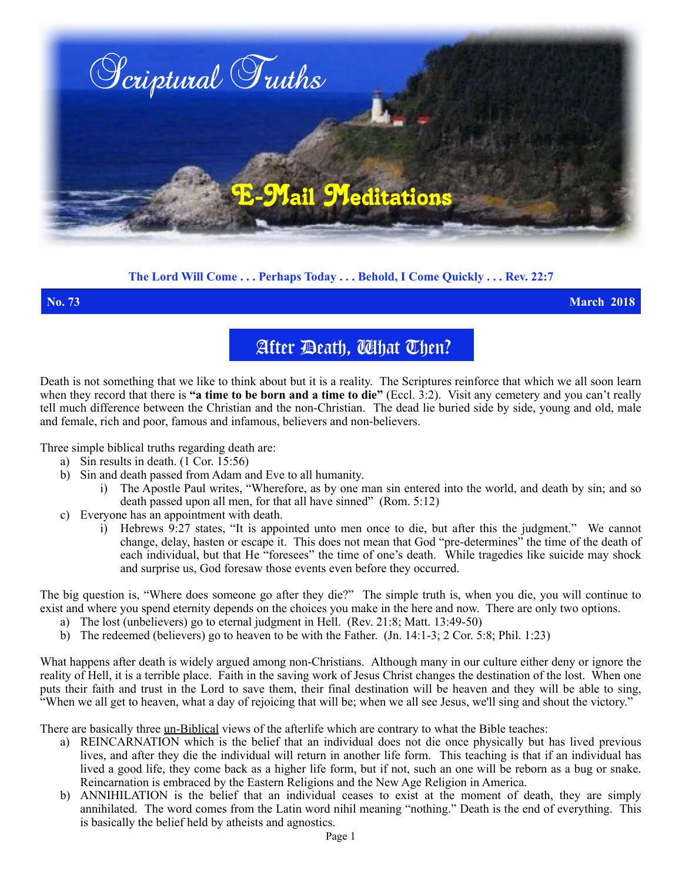

## **The Lord Will Come . . . Perhaps Today . . . Behold, I Come Quickly . . . Rev. 22:7**

**No. 73 March 2018**

# After Death, What Then?

Death is not something that we like to think about but it is a reality. The Scriptures reinforce that which we all soon learn when they record that there is **"a time to be born and a time to die"** (Eccl. 3:2). Visit any cemetery and you can't really tell much difference between the Christian and the non-Christian. The dead lie buried side by side, young and old, male and female, rich and poor, famous and infamous, believers and non-believers.

Three simple biblical truths regarding death are:

- a) Sin results in death. (1 Cor. 15:56)
- b) Sin and death passed from Adam and Eve to all humanity.
	- i) The Apostle Paul writes, "Wherefore, as by one man sin entered into the world, and death by sin; and so death passed upon all men, for that all have sinned" (Rom. 5:12)
- c) Everyone has an appointment with death.
	- i) Hebrews 9:27 states, "It is appointed unto men once to die, but after this the judgment." We cannot change, delay, hasten or escape it. This does not mean that God "pre-determines" the time of the death of each individual, but that He "foresees" the time of one's death. While tragedies like suicide may shock and surprise us, God foresaw those events even before they occurred.

The big question is, "Where does someone go after they die?" The simple truth is, when you die, you will continue to exist and where you spend eternity depends on the choices you make in the here and now. There are only two options.

- a) The lost (unbelievers) go to eternal judgment in Hell. (Rev. 21:8; Matt. 13:49-50)
- b) The redeemed (believers) go to heaven to be with the Father. (Jn.  $14:1-3$ ; 2 Cor. 5:8; Phil. 1:23)

What happens after death is widely argued among non-Christians.Although many in our culture either deny or ignore the reality of Hell, it is a terrible place. Faith in the saving work of Jesus Christ changes the destination of the lost. When one puts their faith and trust in the Lord to save them, their final destination will be heaven and they will be able to sing, "When we all get to heaven, what a day of rejoicing that will be; when we all see Jesus, we'll sing and shout the victory."

There are basically three un-Biblical views of the afterlife which are contrary to what the Bible teaches:

- a) REINCARNATION which is the belief that an individual does not die once physically but has lived previous lives, and after they die the individual will return in another life form. This teaching is that if an individual has lived a good life, they come back as a higher life form, but if not, such an one will be reborn as a bug or snake. Reincarnation is embraced by the Eastern Religions and the New Age Religion in America.
- b) ANNIHILATION is the belief that an individual ceases to exist at the moment of death, they are simply annihilated. The word comes from the Latin word nihil meaning "nothing." Death is the end of everything. This is basically the belief held by atheists and agnostics.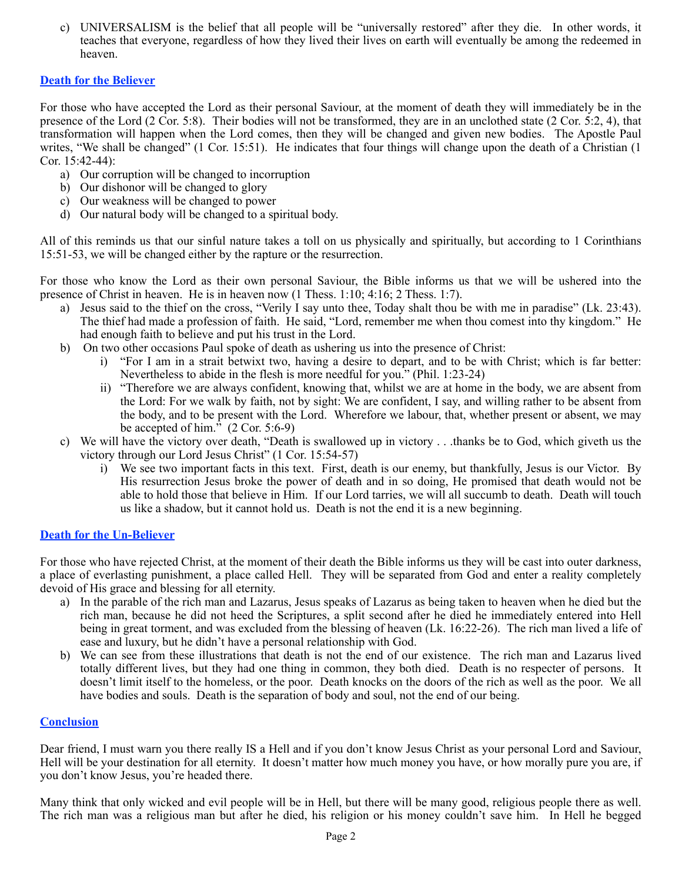c) UNIVERSALISM is the belief that all people will be "universally restored" after they die. In other words, it teaches that everyone, regardless of how they lived their lives on earth will eventually be among the redeemed in heaven.

### **Death for the Believer**

For those who have accepted the Lord as their personal Saviour, at the moment of death they will immediately be in the presence of the Lord (2 Cor. 5:8).Their bodies will not be transformed, they are in an unclothed state (2 Cor. 5:2, 4), that transformation will happen when the Lord comes, then they will be changed and given new bodies. The Apostle Paul writes, "We shall be changed" (1 Cor. 15:51). He indicates that four things will change upon the death of a Christian (1 Cor. 15:42-44):

- a) Our corruption will be changed to incorruption
- b) Our dishonor will be changed to glory
- c) Our weakness will be changed to power
- d) Our natural body will be changed to a spiritual body.

All of this reminds us that our sinful nature takes a toll on us physically and spiritually, but according to 1 Corinthians 15:51-53, we will be changed either by the rapture or the resurrection.

For those who know the Lord as their own personal Saviour, the Bible informs us that we will be ushered into the presence of Christ in heaven. He is in heaven now (1 Thess. 1:10; 4:16; 2 Thess. 1:7).

- a) Jesus said to the thief on the cross, "Verily I say unto thee, Today shalt thou be with me in paradise" (Lk. 23:43). The thief had made a profession of faith. He said, "Lord, remember me when thou comest into thy kingdom." He had enough faith to believe and put his trust in the Lord.
- b) On two other occasions Paul spoke of death as ushering us into the presence of Christ:
	- i) "For I am in a strait betwixt two, having a desire to depart, and to be with Christ; which is far better: Nevertheless to abide in the flesh is more needful for you." (Phil. 1:23-24)
	- ii) "Therefore we are always confident, knowing that, whilst we are at home in the body, we are absent from the Lord: For we walk by faith, not by sight: We are confident, I say, and willing rather to be absent from the body, and to be present with the Lord. Wherefore we labour, that, whether present or absent, we may be accepted of him." (2 Cor. 5:6-9)
- c) We will have the victory over death, "Death is swallowed up in victory . . .thanks be to God, which giveth us the victory through our Lord Jesus Christ" (1 Cor. 15:54-57)
	- i) We see two important facts in this text. First, death is our enemy, but thankfully, Jesus is our Victor. By His resurrection Jesus broke the power of death and in so doing, He promised that death would not be able to hold those that believe in Him. If our Lord tarries, we will all succumb to death. Death will touch us like a shadow, but it cannot hold us. Death is not the end it is a new beginning.

### **Death for the Un-Believer**

For those who have rejected Christ, at the moment of their death the Bible informs us they will be cast into outer darkness, a place of everlasting punishment, a place called Hell. They will be separated from God and enter a reality completely devoid of His grace and blessing for all eternity.

- a) In the parable of the rich man and Lazarus, Jesus speaks of Lazarus as being taken to heaven when he died but the rich man, because he did not heed the Scriptures, a split second after he died he immediately entered into Hell being in great torment, and was excluded from the blessing of heaven (Lk. 16:22-26). The rich man lived a life of ease and luxury, but he didn't have a personal relationship with God.
- b) We can see from these illustrations that death is not the end of our existence. The rich man and Lazarus lived totally different lives, but they had one thing in common, they both died. Death is no respecter of persons. It doesn't limit itself to the homeless, or the poor. Death knocks on the doors of the rich as well as the poor. We all have bodies and souls. Death is the separation of body and soul, not the end of our being.

### **Conclusion**

Dear friend, I must warn you there really IS a Hell and if you don't know Jesus Christ as your personal Lord and Saviour, Hell will be your destination for all eternity. It doesn't matter how much money you have, or how morally pure you are, if you don't know Jesus, you're headed there.

Many think that only wicked and evil people will be in Hell, but there will be many good, religious people there as well. The rich man was a religious man but after he died, his religion or his money couldn't save him. In Hell he begged